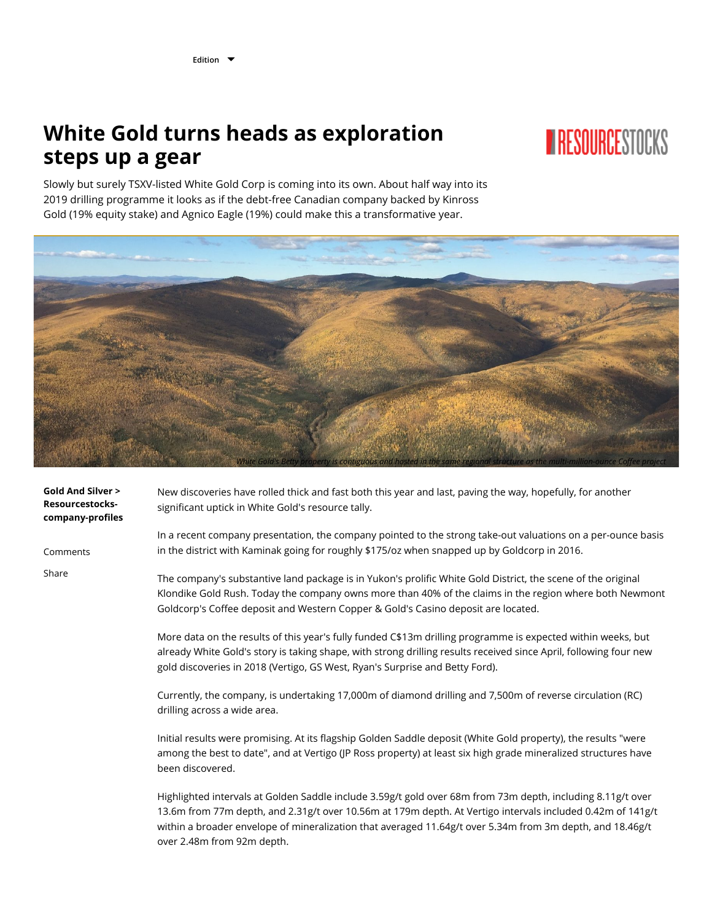## **White Gold turns heads as exploration steps up a gear**

## **RESOURCESTOCKS**

Slowly but surely TSXV-listed White Gold Corp is coming into its own. About half way into its 2019 drilling programme it looks as if the debt-free Canadian company backed by Kinross Gold (19% equity stake) and Agnico Eagle (19%) could make this a transformative year.



| <b>Gold And Silver &gt;</b><br>Resourcestocks-<br>company-profiles | New discoveries have rolled thick and fast both this year and last, paving the way, hopefully, for another<br>significant uptick in White Gold's resource tally.                                                                                                                                                                       |
|--------------------------------------------------------------------|----------------------------------------------------------------------------------------------------------------------------------------------------------------------------------------------------------------------------------------------------------------------------------------------------------------------------------------|
| Comments                                                           | In a recent company presentation, the company pointed to the strong take-out valuations on a per-ounce basis<br>in the district with Kaminak going for roughly \$175/oz when snapped up by Goldcorp in 2016.                                                                                                                           |
| Share                                                              | The company's substantive land package is in Yukon's prolific White Gold District, the scene of the original<br>Klondike Gold Rush. Today the company owns more than 40% of the claims in the region where both Newmont<br>Goldcorp's Coffee deposit and Western Copper & Gold's Casino deposit are located.                           |
|                                                                    | More data on the results of this year's fully funded C\$13m drilling programme is expected within weeks, but<br>already White Gold's story is taking shape, with strong drilling results received since April, following four new<br>gold discoveries in 2018 (Vertigo, GS West, Ryan's Surprise and Betty Ford).                      |
|                                                                    | Currently, the company, is undertaking 17,000m of diamond drilling and 7,500m of reverse circulation (RC)<br>drilling across a wide area.                                                                                                                                                                                              |
|                                                                    | Initial results were promising. At its flagship Golden Saddle deposit (White Gold property), the results "were<br>among the best to date", and at Vertigo (JP Ross property) at least six high grade mineralized structures have<br>been discovered.                                                                                   |
|                                                                    | Highlighted intervals at Golden Saddle include 3.59g/t gold over 68m from 73m depth, including 8.11g/t over<br>13.6m from 77m depth, and 2.31g/t over 10.56m at 179m depth. At Vertigo intervals included 0.42m of 141g/t<br>within a broader envelope of mineralization that averaged 11.64g/t over 5.34m from 3m depth, and 18.46g/t |

over 2.48m from 92m depth.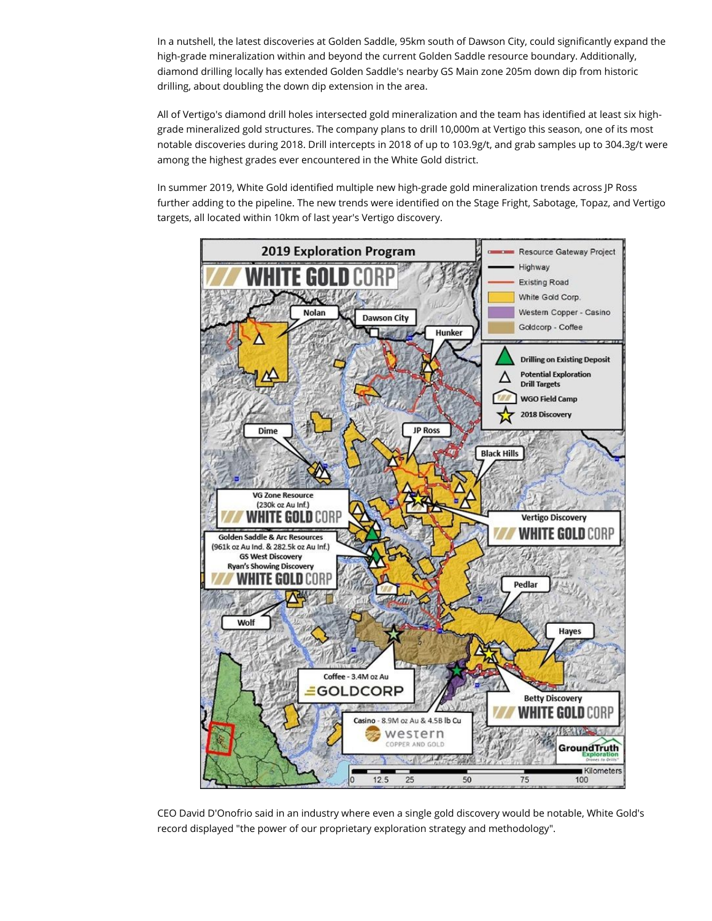In a nutshell, the latest discoveries at Golden Saddle, 95km south of Dawson City, could significantly expand the high-grade mineralization within and beyond the current Golden Saddle resource boundary. Additionally, diamond drilling locally has extended Golden Saddle's nearby GS Main zone 205m down dip from historic drilling, about doubling the down dip extension in the area.

All of Vertigo's diamond drill holes intersected gold mineralization and the team has identified at least six highgrade mineralized gold structures. The company plans to drill 10,000m at Vertigo this season, one of its most notable discoveries during 2018. Drill intercepts in 2018 of up to 103.9g/t, and grab samples up to 304.3g/t were among the highest grades ever encountered in the White Gold district.

In summer 2019, White Gold identified multiple new high-grade gold mineralization trends across JP Ross further adding to the pipeline. The new trends were identified on the Stage Fright, Sabotage, Topaz, and Vertigo targets, all located within 10km of last year's Vertigo discovery.



CEO David D'Onofrio said in an industry where even a single gold discovery would be notable, White Gold's record displayed "the power of our proprietary exploration strategy and methodology".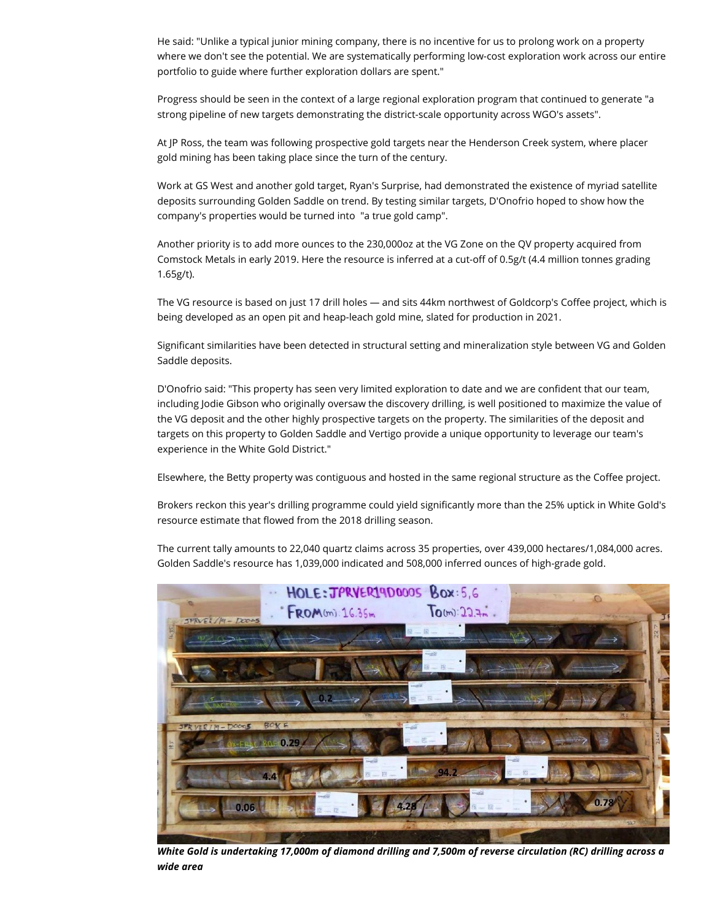He said: "Unlike a typical junior mining company, there is no incentive for us to prolong work on a property where we don't see the potential. We are systematically performing low-cost exploration work across our entire portfolio to guide where further exploration dollars are spent."

Progress should be seen in the context of a large regional exploration program that continued to generate "a strong pipeline of new targets demonstrating the district-scale opportunity across WGO's assets".

At JP Ross, the team was following prospective gold targets near the Henderson Creek system, where placer gold mining has been taking place since the turn of the century.

Work at GS West and another gold target, Ryan's Surprise, had demonstrated the existence of myriad satellite deposits surrounding Golden Saddle on trend. By testing similar targets, D'Onofrio hoped to show how the company's properties would be turned into "a true gold camp".

Another priority is to add more ounces to the 230,000oz at the VG Zone on the QV property acquired from Comstock Metals in early 2019. Here the resource is inferred at a cut-off of 0.5g/t (4.4 million tonnes grading 1.65g/t).

The VG resource is based on just 17 drill holes — and sits 44km northwest of Goldcorp's Coffee project, which is being developed as an open pit and heap-leach gold mine, slated for production in 2021.

Significant similarities have been detected in structural setting and mineralization style between VG and Golden Saddle deposits.

D'Onofrio said: "This property has seen very limited exploration to date and we are confident that our team, including Jodie Gibson who originally oversaw the discovery drilling, is well positioned to maximize the value of the VG deposit and the other highly prospective targets on the property. The similarities of the deposit and targets on this property to Golden Saddle and Vertigo provide a unique opportunity to leverage our team's experience in the White Gold District."

Elsewhere, the Betty property was contiguous and hosted in the same regional structure as the Coffee project.

Brokers reckon this year's drilling programme could yield significantly more than the 25% uptick in White Gold's resource estimate that flowed from the 2018 drilling season.

The current tally amounts to 22,040 quartz claims across 35 properties, over 439,000 hectares/1,084,000 acres. Golden Saddle's resource has 1,039,000 indicated and 508,000 inferred ounces of high-grade gold.



*White Gold is undertaking 17,000m of diamond drilling and 7,500m of reverse circulation (RC) drilling across a wide area*